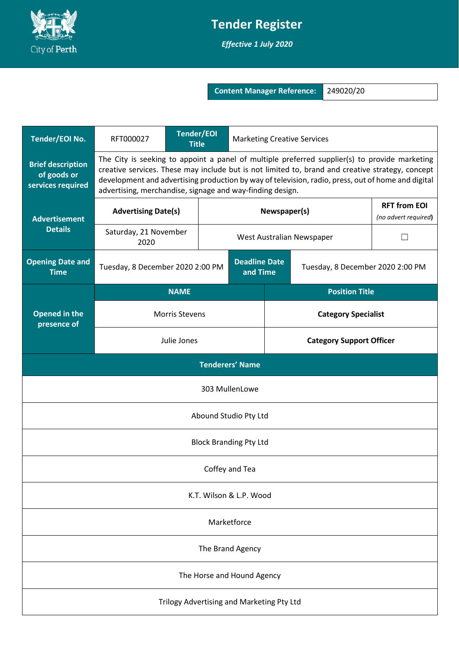

## **Tender Register**

*Effective 1 July 2020*

**Content Manager Reference:** 249020/20

| Tender/EOI No.                                               | RFT000027                                                                                                                                                                                                                                                                                                                                                            | <b>Tender/EOI</b><br><b>Title</b> |  | <b>Marketing Creative Services</b> |                                  |                                             |  |
|--------------------------------------------------------------|----------------------------------------------------------------------------------------------------------------------------------------------------------------------------------------------------------------------------------------------------------------------------------------------------------------------------------------------------------------------|-----------------------------------|--|------------------------------------|----------------------------------|---------------------------------------------|--|
| <b>Brief description</b><br>of goods or<br>services required | The City is seeking to appoint a panel of multiple preferred supplier(s) to provide marketing<br>creative services. These may include but is not limited to, brand and creative strategy, concept<br>development and advertising production by way of television, radio, press, out of home and digital<br>advertising, merchandise, signage and way-finding design. |                                   |  |                                    |                                  |                                             |  |
| <b>Advertisement</b><br><b>Details</b>                       | <b>Advertising Date(s)</b>                                                                                                                                                                                                                                                                                                                                           |                                   |  | Newspaper(s)                       |                                  | <b>RFT from EOI</b><br>(no advert required) |  |
|                                                              | Saturday, 21 November<br>2020                                                                                                                                                                                                                                                                                                                                        |                                   |  | West Australian Newspaper          |                                  |                                             |  |
| <b>Opening Date and</b><br><b>Time</b>                       | Tuesday, 8 December 2020 2:00 PM                                                                                                                                                                                                                                                                                                                                     |                                   |  | <b>Deadline Date</b><br>and Time   | Tuesday, 8 December 2020 2:00 PM |                                             |  |
| <b>Opened in the</b><br>presence of                          | <b>NAME</b>                                                                                                                                                                                                                                                                                                                                                          |                                   |  | <b>Position Title</b>              |                                  |                                             |  |
|                                                              | <b>Morris Stevens</b>                                                                                                                                                                                                                                                                                                                                                |                                   |  | <b>Category Specialist</b>         |                                  |                                             |  |
|                                                              | Julie Jones                                                                                                                                                                                                                                                                                                                                                          |                                   |  | <b>Category Support Officer</b>    |                                  |                                             |  |
| <b>Tenderers' Name</b>                                       |                                                                                                                                                                                                                                                                                                                                                                      |                                   |  |                                    |                                  |                                             |  |
| 303 MullenLowe                                               |                                                                                                                                                                                                                                                                                                                                                                      |                                   |  |                                    |                                  |                                             |  |
| Abound Studio Pty Ltd                                        |                                                                                                                                                                                                                                                                                                                                                                      |                                   |  |                                    |                                  |                                             |  |
| <b>Block Branding Pty Ltd</b>                                |                                                                                                                                                                                                                                                                                                                                                                      |                                   |  |                                    |                                  |                                             |  |
| Coffey and Tea                                               |                                                                                                                                                                                                                                                                                                                                                                      |                                   |  |                                    |                                  |                                             |  |
| K.T. Wilson & L.P. Wood                                      |                                                                                                                                                                                                                                                                                                                                                                      |                                   |  |                                    |                                  |                                             |  |
| Marketforce                                                  |                                                                                                                                                                                                                                                                                                                                                                      |                                   |  |                                    |                                  |                                             |  |
| The Brand Agency                                             |                                                                                                                                                                                                                                                                                                                                                                      |                                   |  |                                    |                                  |                                             |  |
| The Horse and Hound Agency                                   |                                                                                                                                                                                                                                                                                                                                                                      |                                   |  |                                    |                                  |                                             |  |
| Trilogy Advertising and Marketing Pty Ltd                    |                                                                                                                                                                                                                                                                                                                                                                      |                                   |  |                                    |                                  |                                             |  |